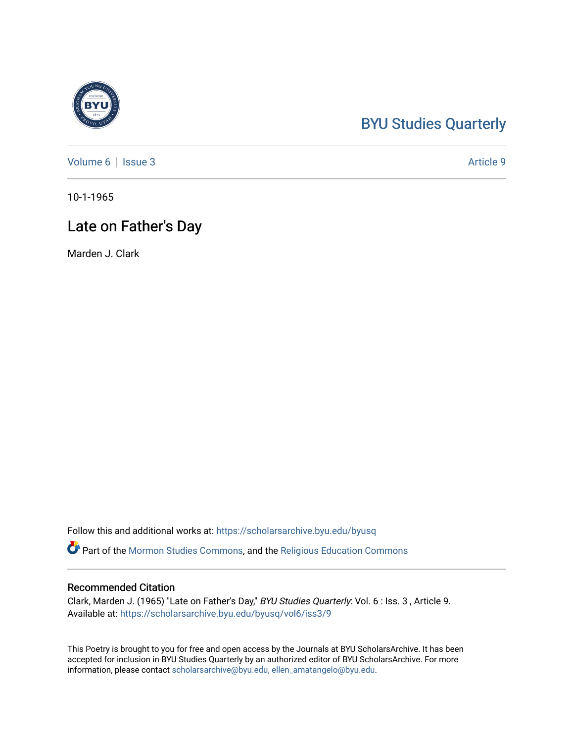## [BYU Studies Quarterly](https://scholarsarchive.byu.edu/byusq)

[Volume 6](https://scholarsarchive.byu.edu/byusq/vol6) | [Issue 3](https://scholarsarchive.byu.edu/byusq/vol6/iss3) Article 9

10-1-1965

### Late on Father's Day

Marden J. Clark

Follow this and additional works at: [https://scholarsarchive.byu.edu/byusq](https://scholarsarchive.byu.edu/byusq?utm_source=scholarsarchive.byu.edu%2Fbyusq%2Fvol6%2Fiss3%2F9&utm_medium=PDF&utm_campaign=PDFCoverPages) 

Part of the [Mormon Studies Commons](http://network.bepress.com/hgg/discipline/1360?utm_source=scholarsarchive.byu.edu%2Fbyusq%2Fvol6%2Fiss3%2F9&utm_medium=PDF&utm_campaign=PDFCoverPages), and the [Religious Education Commons](http://network.bepress.com/hgg/discipline/1414?utm_source=scholarsarchive.byu.edu%2Fbyusq%2Fvol6%2Fiss3%2F9&utm_medium=PDF&utm_campaign=PDFCoverPages) 

#### Recommended Citation

Clark, Marden J. (1965) "Late on Father's Day," BYU Studies Quarterly: Vol. 6 : Iss. 3 , Article 9. Available at: [https://scholarsarchive.byu.edu/byusq/vol6/iss3/9](https://scholarsarchive.byu.edu/byusq/vol6/iss3/9?utm_source=scholarsarchive.byu.edu%2Fbyusq%2Fvol6%2Fiss3%2F9&utm_medium=PDF&utm_campaign=PDFCoverPages) 

This Poetry is brought to you for free and open access by the Journals at BYU ScholarsArchive. It has been accepted for inclusion in BYU Studies Quarterly by an authorized editor of BYU ScholarsArchive. For more information, please contact [scholarsarchive@byu.edu, ellen\\_amatangelo@byu.edu.](mailto:scholarsarchive@byu.edu,%20ellen_amatangelo@byu.edu)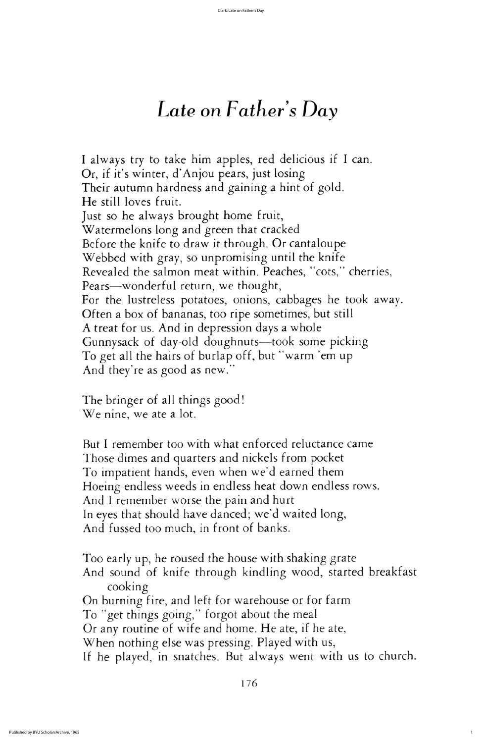Too early up, he roused the house with shaking grate And sound of knife through kindling wood, started breakfast cooking

On burning fire, and left for warehouse or for farm To "get things going," forgot about the meal Or any routine of wife and home. He ate, if he ate, When nothing else was pressing. Played with us, If he played, in snatches. But always went with us to church.

# Late on  $Father's$  Day

I always try to take him apples, red delicious if I can. Or, if it's winter, d'Anjou pears, just losing Their autumn hardness and gaining a hint of gold. He still loves fruit. Just so he always brought home fruit, watermelons Watermelons long and green that cracked Before the knife to draw it through. Or cantaloupe Webbed with gray, so unpromising until the knife Revealed the salmon meat within. Peaches, "cots," cherries, Pears—wonderful return, we thought, For the lustreless potatoes, onions, cabbages he took away. Often a box of bananas, too ripe sometimes, but still A treat for us. And in depression days a whole Gunnysack of day-old doughnuts-took some picking To get all the hairs of burlap off, but "warm 'em up And they're as good as new."

The bringer of all things good! We nine, we ate a lot.

But I remember too with what enforced reluctance came Those dimes and quarters and nickels from pocket To impatient hands, even when we'd earned them Hoeing endless weeds in endless heat down endless rows. And I remember worse the pain and hurt In eyes that should have danced; we'd waited long, And fussed too much, in front of banks.